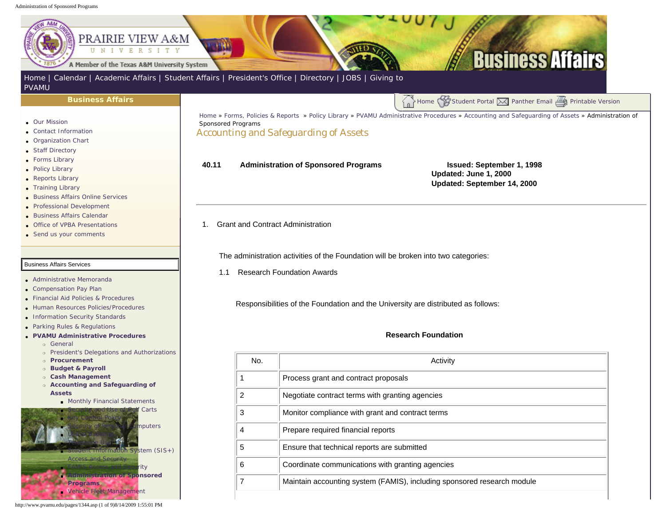#### <span id="page-0-0"></span>Administration of Sponsored Programs



- [Business Affairs Calendar](http://www.pvamu.edu/pages/534.asp)
- [Office of VPBA Presentations](http://www.pvamu.edu/pages/2940.asp)
- [Send us your comments](http://www.pvamu.edu/pages/535.asp)

- [Administrative Memoranda](http://www.pvamu.edu/pages/1230.asp)
- [Compensation Pay Plan](http://www.pvamu.edu/pages/2078.asp)
- [Financial Aid Policies & Procedures](http://www.pvamu.edu/pages/2636.asp)
- [Human Resources Policies/Procedures](http://www.pvamu.edu/pages/679.asp)
- [Information Security Standards](http://www.pvamu.edu/pages/2492.asp)
- [Parking Rules & Regulations](http://www.pvamu.edu/pages/1233.asp)
- ● **[PVAMU Administrative Procedures](http://www.pvamu.edu/pages/1234.asp)**
	- ❍ [General](http://www.pvamu.edu/pages/1235.asp)
	- ❍ [President's Delegations and Authorizations](http://www.pvamu.edu/pages/1236.asp)
	- ❍ **[Procurement](http://www.pvamu.edu/pages/1239.asp)**
	- ❍ **[Budget & Payroll](http://www.pvamu.edu/pages/1251.asp)**
	- ❍ **[Cash Management](http://www.pvamu.edu/pages/1328.asp)**
	- ❍ **[Accounting and Safeguarding of](http://www.pvamu.edu/pages/1335.asp) [Assets](http://www.pvamu.edu/pages/1335.asp)**
		- [Monthly Financial Statements](http://www.pvamu.edu/pages/1336.asp)



## 1. Grant and Contract Administration

The administration activities of the Foundation will be broken into two categories:

1.1 Research Foundation Awards

Responsibilities of the Foundation and the University are distributed as follows:

## **Research Foundation**

| No. | Activity                                                                |  |
|-----|-------------------------------------------------------------------------|--|
|     | Process grant and contract proposals                                    |  |
| 2   | Negotiate contract terms with granting agencies                         |  |
| 3   | Monitor compliance with grant and contract terms                        |  |
| 4   | Prepare required financial reports                                      |  |
| 5   | Ensure that technical reports are submitted                             |  |
| 6   | Coordinate communications with granting agencies                        |  |
|     | Maintain accounting system (FAMIS), including sponsored research module |  |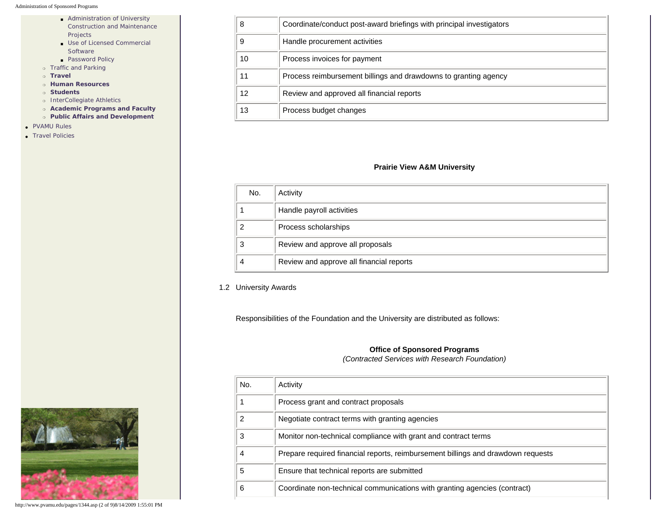### Administration of Sponsored Programs

- [Administration of University](http://www.pvamu.edu/pages/1346.asp) [Construction and Maintenance](http://www.pvamu.edu/pages/1346.asp)  [Projects](http://www.pvamu.edu/pages/1346.asp)
- [Use of Licensed Commercial](http://www.pvamu.edu/pages/1347.asp) [Software](http://www.pvamu.edu/pages/1347.asp)
- [Password Policy](http://www.pvamu.edu/pages/1349.asp)
- ❍ [Traffic and Parking](http://www.pvamu.edu/pages/1348.asp)
- ❍ **[Travel](http://www.pvamu.edu/pages/1350.asp)**
- ❍ **[Human Resources](http://www.pvamu.edu/pages/1358.asp)**
- ❍ **[Students](http://www.pvamu.edu/pages/1374.asp)**
- o [InterCollegiate Athletics](http://www.pvamu.edu/pages/1390.asp)
- ❍ **[Academic Programs and Faculty](http://www.pvamu.edu/pages/1391.asp)**
- ❍ **[Public Affairs and Development](http://www.pvamu.edu/pages/1410.asp)**
- [PVAMU Rules](http://www.pvamu.edu/pages/1412.asp)
- [Travel Policies](http://www.pvamu.edu/pages/1414.asp)

| 8  | Coordinate/conduct post-award briefings with principal investigators |  |
|----|----------------------------------------------------------------------|--|
| 9  | Handle procurement activities                                        |  |
| 10 | Process invoices for payment                                         |  |
|    | Process reimbursement billings and drawdowns to granting agency      |  |
| 12 | Review and approved all financial reports                            |  |
| 13 | Process budget changes                                               |  |

# **Prairie View A&M University**

| No. | Activity                                 |  |
|-----|------------------------------------------|--|
|     | Handle payroll activities                |  |
| ົ   | Process scholarships                     |  |
| 3   | Review and approve all proposals         |  |
|     | Review and approve all financial reports |  |

1.2 University Awards

Responsibilities of the Foundation and the University are distributed as follows:

## **Office of Sponsored Programs**

*(Contracted Services with Research Foundation)*

| No. | Activity                                                                         |
|-----|----------------------------------------------------------------------------------|
|     | Process grant and contract proposals                                             |
| 2   | Negotiate contract terms with granting agencies                                  |
|     | Monitor non-technical compliance with grant and contract terms                   |
| 4   | Prepare required financial reports, reimbursement billings and drawdown requests |
| 5   | Ensure that technical reports are submitted                                      |
| 6   | Coordinate non-technical communications with granting agencies (contract)        |



http://www.pvamu.edu/pages/1344.asp (2 of 9)8/14/2009 1:55:01 PM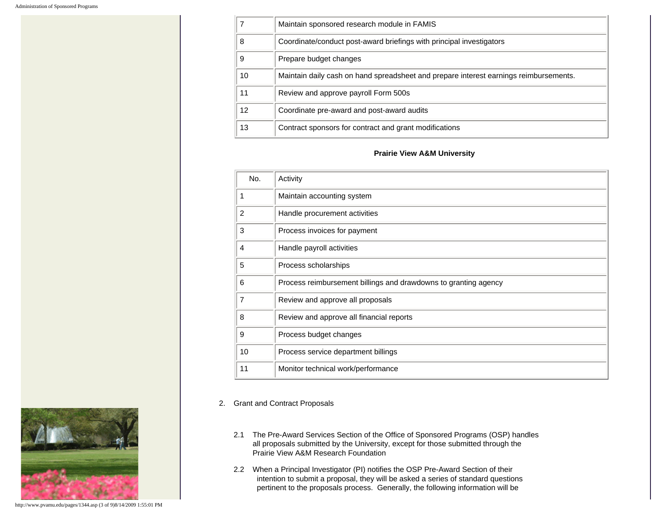|    | Maintain sponsored research module in FAMIS                                           |  |
|----|---------------------------------------------------------------------------------------|--|
| 8  | Coordinate/conduct post-award briefings with principal investigators                  |  |
| 9  | Prepare budget changes                                                                |  |
| 10 | Maintain daily cash on hand spreadsheet and prepare interest earnings reimbursements. |  |
| 11 | Review and approve payroll Form 500s                                                  |  |
| 12 | Coordinate pre-award and post-award audits                                            |  |
| 13 | Contract sponsors for contract and grant modifications                                |  |

# **Prairie View A&M University**

| No. | Activity                                                        |
|-----|-----------------------------------------------------------------|
| 1   | Maintain accounting system                                      |
| 2   | Handle procurement activities                                   |
| 3   | Process invoices for payment                                    |
| 4   | Handle payroll activities                                       |
| 5   | Process scholarships                                            |
| 6   | Process reimbursement billings and drawdowns to granting agency |
| 7   | Review and approve all proposals                                |
| 8   | Review and approve all financial reports                        |
| 9   | Process budget changes                                          |
| 10  | Process service department billings                             |
| 11  | Monitor technical work/performance                              |

# 2. Grant and Contract Proposals

- 2.1 The Pre-Award Services Section of the Office of Sponsored Programs (OSP) handles all proposals submitted by the University, except for those submitted through the Prairie View A&M Research Foundation
- 2.2 When a Principal Investigator (PI) notifies the OSP Pre-Award Section of their intention to submit a proposal, they will be asked a series of standard questions pertinent to the proposals process. Generally, the following information will be



http://www.pvamu.edu/pages/1344.asp (3 of 9)8/14/2009 1:55:01 PM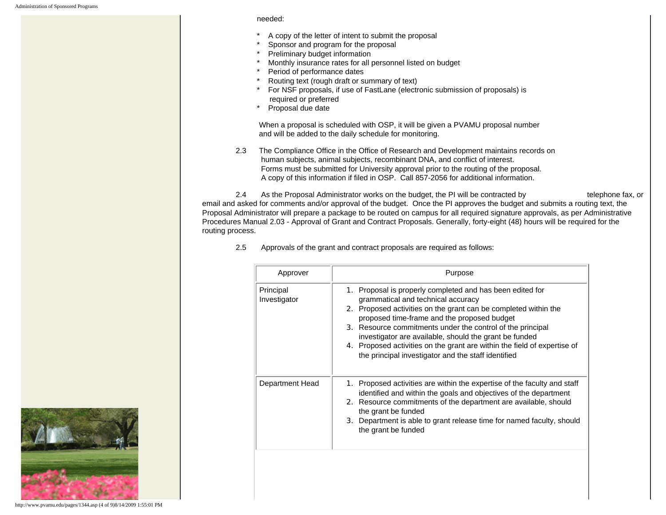## needed:

- A copy of the letter of intent to submit the proposal
- Sponsor and program for the proposal
- Preliminary budget information
- Monthly insurance rates for all personnel listed on budget
- Period of performance dates
- Routing text (rough draft or summary of text)
- For NSF proposals, if use of FastLane (electronic submission of proposals) is required or preferred<br>\* Proposal due date
- Proposal due date

 When a proposal is scheduled with OSP, it will be given a PVAMU proposal number and will be added to the daily schedule for monitoring.

 2.3 The Compliance Office in the Office of Research and Development maintains records on human subjects, animal subjects, recombinant DNA, and conflict of interest. Forms must be submitted for University approval prior to the routing of the proposal. A copy of this information if filed in OSP. Call 857-2056 for additional information.

 2.4 As the Proposal Administrator works on the budget, the PI will be contracted by telephone fax, or email and asked for comments and/or approval of the budget. Once the PI approves the budget and submits a routing text, the Proposal Administrator will prepare a package to be routed on campus for all required signature approvals, as per Administrative Procedures Manual 2.03 - Approval of Grant and Contract Proposals. Generally, forty-eight (48) hours will be required for the routing process.

2.5 Approvals of the grant and contract proposals are required as follows:

| Approver                  | Purpose                                                                                                                                                                                                                                                                                                                                                                                                                                                                      |
|---------------------------|------------------------------------------------------------------------------------------------------------------------------------------------------------------------------------------------------------------------------------------------------------------------------------------------------------------------------------------------------------------------------------------------------------------------------------------------------------------------------|
| Principal<br>Investigator | 1. Proposal is properly completed and has been edited for<br>grammatical and technical accuracy<br>2. Proposed activities on the grant can be completed within the<br>proposed time-frame and the proposed budget<br>3. Resource commitments under the control of the principal<br>investigator are available, should the grant be funded<br>4. Proposed activities on the grant are within the field of expertise of<br>the principal investigator and the staff identified |
| Department Head           | 1. Proposed activities are within the expertise of the faculty and staff<br>identified and within the goals and objectives of the department<br>2. Resource commitments of the department are available, should<br>the grant be funded<br>3. Department is able to grant release time for named faculty, should<br>the grant be funded                                                                                                                                       |
|                           |                                                                                                                                                                                                                                                                                                                                                                                                                                                                              |



http://www.pvamu.edu/pages/1344.asp (4 of 9)8/14/2009 1:55:01 PM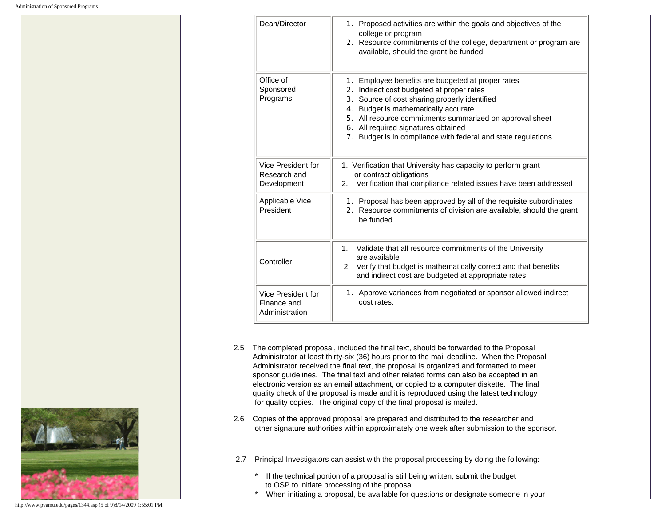| Dean/Director                                       | 1. Proposed activities are within the goals and objectives of the<br>college or program<br>2. Resource commitments of the college, department or program are<br>available, should the grant be funded                                                                                                                                                       |
|-----------------------------------------------------|-------------------------------------------------------------------------------------------------------------------------------------------------------------------------------------------------------------------------------------------------------------------------------------------------------------------------------------------------------------|
| Office of<br>Sponsored<br>Programs                  | 1. Employee benefits are budgeted at proper rates<br>2. Indirect cost budgeted at proper rates<br>3. Source of cost sharing properly identified<br>4. Budget is mathematically accurate<br>5. All resource commitments summarized on approval sheet<br>6. All required signatures obtained<br>7. Budget is in compliance with federal and state regulations |
| Vice President for<br>Research and<br>Development   | 1. Verification that University has capacity to perform grant<br>or contract obligations<br>2. Verification that compliance related issues have been addressed                                                                                                                                                                                              |
| Applicable Vice<br>President                        | 1. Proposal has been approved by all of the requisite subordinates<br>2. Resource commitments of division are available, should the grant<br>be funded                                                                                                                                                                                                      |
| Controller                                          | 1 <sub>1</sub><br>Validate that all resource commitments of the University<br>are available<br>2. Verify that budget is mathematically correct and that benefits<br>and indirect cost are budgeted at appropriate rates                                                                                                                                     |
| Vice President for<br>Finance and<br>Administration | 1. Approve variances from negotiated or sponsor allowed indirect<br>cost rates.                                                                                                                                                                                                                                                                             |

- 2.5 The completed proposal, included the final text, should be forwarded to the Proposal Administrator at least thirty-six (36) hours prior to the mail deadline. When the Proposal Administrator received the final text, the proposal is organized and formatted to meet sponsor guidelines. The final text and other related forms can also be accepted in an electronic version as an email attachment, or copied to a computer diskette. The final quality check of the proposal is made and it is reproduced using the latest technology for quality copies. The original copy of the final proposal is mailed.
- 2.6 Copies of the approved proposal are prepared and distributed to the researcher and other signature authorities within approximately one week after submission to the sponsor.
- 2.7 Principal Investigators can assist with the proposal processing by doing the following:
	- \* If the technical portion of a proposal is still being written, submit the budget to OSP to initiate processing of the proposal.
	- When initiating a proposal, be available for questions or designate someone in your



http://www.pvamu.edu/pages/1344.asp (5 of 9)8/14/2009 1:55:01 PM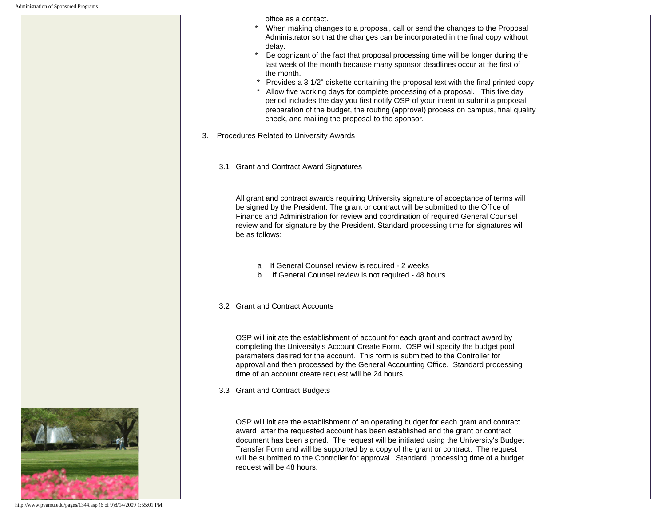office as a contact.

- When making changes to a proposal, call or send the changes to the Proposal Administrator so that the changes can be incorporated in the final copy without delay.
- Be cognizant of the fact that proposal processing time will be longer during the last week of the month because many sponsor deadlines occur at the first of the month.
- Provides a 3 1/2" diskette containing the proposal text with the final printed copy
- Allow five working days for complete processing of a proposal. This five day period includes the day you first notify OSP of your intent to submit a proposal, preparation of the budget, the routing (approval) process on campus, final quality check, and mailing the proposal to the sponsor.
- 3. Procedures Related to University Awards
	- 3.1 Grant and Contract Award Signatures

 All grant and contract awards requiring University signature of acceptance of terms will be signed by the President. The grant or contract will be submitted to the Office of Finance and Administration for review and coordination of required General Counsel review and for signature by the President. Standard processing time for signatures will be as follows:

- a If General Counsel review is required 2 weeks
- b. If General Counsel review is not required 48 hours
- 3.2 Grant and Contract Accounts

 OSP will initiate the establishment of account for each grant and contract award by completing the University's Account Create Form. OSP will specify the budget pool parameters desired for the account. This form is submitted to the Controller for approval and then processed by the General Accounting Office. Standard processing time of an account create request will be 24 hours.

3.3 Grant and Contract Budgets

 OSP will initiate the establishment of an operating budget for each grant and contract award after the requested account has been established and the grant or contract document has been signed. The request will be initiated using the University's Budget Transfer Form and will be supported by a copy of the grant or contract. The request will be submitted to the Controller for approval. Standard processing time of a budget request will be 48 hours.



http://www.pvamu.edu/pages/1344.asp (6 of 9)8/14/2009 1:55:01 PM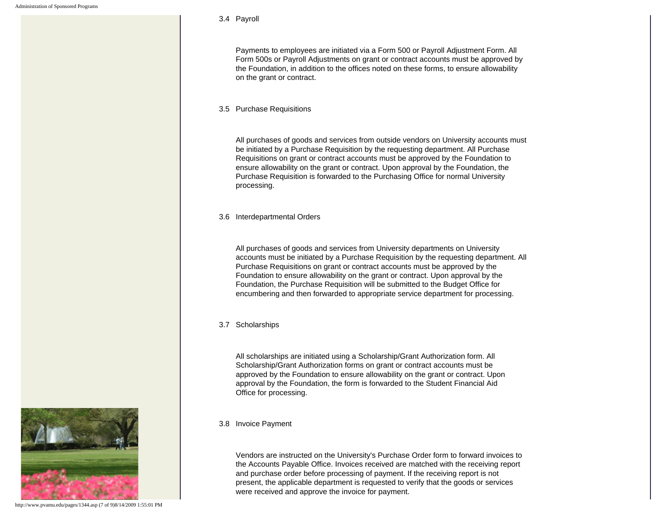## 3.4 Payroll

 Payments to employees are initiated via a Form 500 or Payroll Adjustment Form. All Form 500s or Payroll Adjustments on grant or contract accounts must be approved by the Foundation, in addition to the offices noted on these forms, to ensure allowability on the grant or contract.

## 3.5 Purchase Requisitions

 All purchases of goods and services from outside vendors on University accounts must be initiated by a Purchase Requisition by the requesting department. All Purchase Requisitions on grant or contract accounts must be approved by the Foundation to ensure allowability on the grant or contract. Upon approval by the Foundation, the Purchase Requisition is forwarded to the Purchasing Office for normal University processing.

## 3.6 Interdepartmental Orders

 All purchases of goods and services from University departments on University accounts must be initiated by a Purchase Requisition by the requesting department. All Purchase Requisitions on grant or contract accounts must be approved by the Foundation to ensure allowability on the grant or contract. Upon approval by the Foundation, the Purchase Requisition will be submitted to the Budget Office for encumbering and then forwarded to appropriate service department for processing.

## 3.7 Scholarships

 All scholarships are initiated using a Scholarship/Grant Authorization form. All Scholarship/Grant Authorization forms on grant or contract accounts must be approved by the Foundation to ensure allowability on the grant or contract. Upon approval by the Foundation, the form is forwarded to the Student Financial Aid Office for processing.

3.8 Invoice Payment

 Vendors are instructed on the University's Purchase Order form to forward invoices to the Accounts Payable Office. Invoices received are matched with the receiving report and purchase order before processing of payment. If the receiving report is not present, the applicable department is requested to verify that the goods or services were received and approve the invoice for payment.



http://www.pvamu.edu/pages/1344.asp (7 of 9)8/14/2009 1:55:01 PM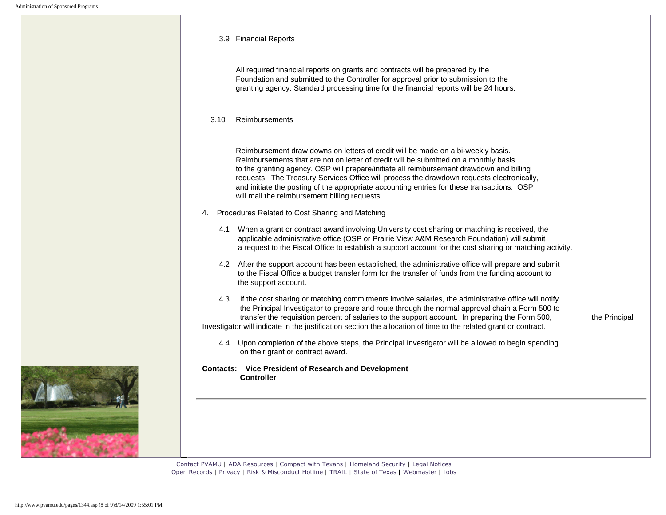## 3.9 Financial Reports

 All required financial reports on grants and contracts will be prepared by the Foundation and submitted to the Controller for approval prior to submission to the granting agency. Standard processing time for the financial reports will be 24 hours.

## 3.10 Reimbursements

 Reimbursement draw downs on letters of credit will be made on a bi-weekly basis. Reimbursements that are not on letter of credit will be submitted on a monthly basis to the granting agency. OSP will prepare/initiate all reimbursement drawdown and billing requests. The Treasury Services Office will process the drawdown requests electronically, and initiate the posting of the appropriate accounting entries for these transactions. OSP will mail the reimbursement billing requests.

- 4. Procedures Related to Cost Sharing and Matching
	- 4.1 When a grant or contract award involving University cost sharing or matching is received, the applicable administrative office (OSP or Prairie View A&M Research Foundation) will submit a request to the Fiscal Office to establish a support account for the cost sharing or matching activity.
	- 4.2 After the support account has been established, the administrative office will prepare and submit to the Fiscal Office a budget transfer form for the transfer of funds from the funding account to the support account.
- 4.3 If the cost sharing or matching commitments involve salaries, the administrative office will notify the Principal Investigator to prepare and route through the normal approval chain a Form 500 to transfer the requisition percent of salaries to the support account. In preparing the Form 500, the Principal Investigator will indicate in the justification section the allocation of time to the related grant or contract.

 4.4 Upon completion of the above steps, the Principal Investigator will be allowed to begin spending on their grant or contract award.

## **Contacts: Vice President of Research and Development Controller**

[Contact PVAMU](http://www.pvamu.edu/pages/2928.asp) | [ADA Resources](http://www.pvamu.edu/pages/4016.asp) | [Compact with Texans](http://www.pvamu.edu/pages/275.asp) | [Homeland Security](http://www.texashomelandsecurity.com/) | [Legal Notices](http://www.educause.edu/issues/dmca.html) [Open Records](http://www.pvamu.edu/pages/1058.asp) | [Privacy](http://www.pvamu.edu/pages/277.asp) | [Risk & Misconduct Hotline](https://secure.ethicspoint.com/domain/en/report_custom.asp?clientid=19681) | [TRAIL](http://www.tsl.state.tx.us/trail/index.html) | [State of Texas](http://www.state.tx.us/) | [Webmaster](mailto:webmaster@pvamu.edu) | [Jobs](http://www.pvamu.edu/jobs)